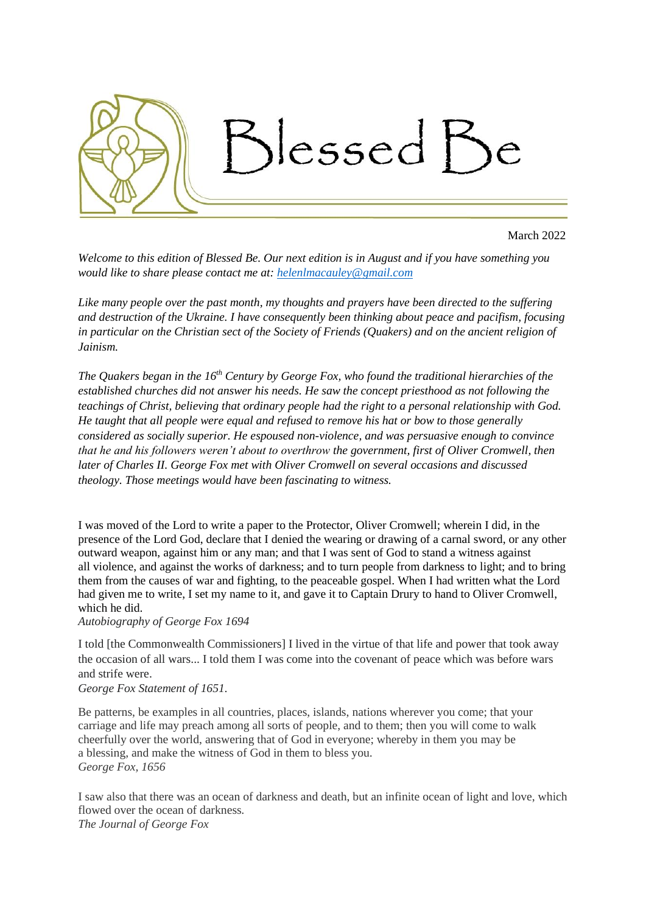

March 2022

*Welcome to this edition of Blessed Be. Our next edition is in August and if you have something you would like to share please contact me at: [helenlmacauley@gmail.com](mailto:helenlmacauley@gmail.com)*

*Like many people over the past month, my thoughts and prayers have been directed to the suffering and destruction of the Ukraine. I have consequently been thinking about peace and pacifism, focusing in particular on the Christian sect of the Society of Friends (Quakers) and on the ancient religion of Jainism.*

*The Quakers began in the 16th Century by George Fox, who found the traditional hierarchies of the established churches did not answer his needs. He saw the concept priesthood as not following the teachings of Christ, believing that ordinary people had the right to a personal relationship with God. He taught that all people were equal and refused to remove his hat or bow to those generally considered as socially superior. He espoused non-violence, and was persuasive enough to convince that he and his followers weren't about to overthrow the government, first of Oliver Cromwell, then later of Charles II. George Fox met with Oliver Cromwell on several occasions and discussed theology. Those meetings would have been fascinating to witness.*

I was moved of the Lord to write a paper to the Protector, [Oliver Cromwell;](https://en.wikiquote.org/wiki/Oliver_Cromwell) wherein I did, in the presence of the Lord [God,](https://en.wikiquote.org/wiki/God) declare that I denied the wearing or drawing of a carnal [sword,](https://en.wikiquote.org/wiki/Sword) or any other outward weapon, against him or any man; and that I was sent of God to stand a witness against all [violence,](https://en.wikiquote.org/wiki/Violence) and against the works of [darkness;](https://en.wikiquote.org/wiki/Darkness) and to turn people from darkness to [light;](https://en.wikiquote.org/wiki/Light) and to bring them from the causes of [war](https://en.wikiquote.org/wiki/War) and [fighting,](https://en.wikiquote.org/wiki/Fighting) to the [peaceable](https://en.wikiquote.org/wiki/Peaceable) gospel. When I had written what the Lord had given me to write, I set my name to it, and gave it to Captain Drury to hand to Oliver Cromwell, which he did.

#### *Autobiography of George Fox 1694*

I told [the Commonwealth Commissioners] I lived in the virtue of that life and power that took away the occasion of all wars... I told them I was come into the covenant of peace which was before wars and strife were.

## *George Fox Statement of 1651.*

Be patterns, be examples in all countries, places, islands, nations wherever you come; that your carriage and life may preach among all sorts of people, and to them; then you will come to walk cheerfully over the world, answering that of God in everyone; whereby in them you may be a blessing, and make the witness of God in them to bless you. *George Fox, 1656*

I saw also that there was an ocean of darkness and death, but an infinite ocean of light and love, which flowed over the ocean of darkness*. The Journal of George Fox*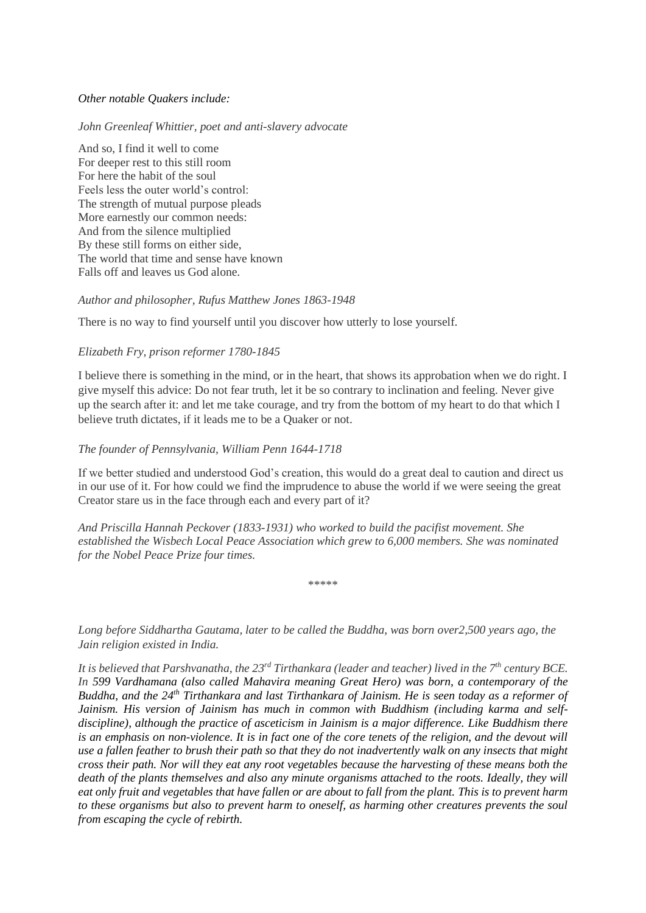# *Other notable Quakers include:*

### *John Greenleaf Whittier, poet and anti-slavery advocate*

And so, I find it well to come For deeper rest to this still room For here the habit of the soul Feels less the outer world's control: The strength of mutual purpose pleads More earnestly our common needs: And from the silence multiplied By these still forms on either side, The world that time and sense have known Falls off and leaves us God alone.

### *Author and philosopher, Rufus Matthew Jones 1863-1948*

There is no way to find yourself until you discover how utterly to lose yourself.

### *Elizabeth Fry, prison reformer 1780-1845*

I believe there is something in the mind, or in the heart, that shows its approbation when we do right. I give myself this advice: Do not fear truth, let it be so contrary to inclination and feeling. Never give up the search after it: and let me take courage, and try from the bottom of my heart to do that which I believe truth dictates, if it leads me to be a Quaker or not.

### *The founder of Pennsylvania, William Penn 1644-1718*

If we better studied and understood God's creation, this would do a great deal to caution and direct us in our use of it. For how could we find the imprudence to abuse the world if we were seeing the great Creator stare us in the face through each and every part of it?

*And Priscilla Hannah Peckover (1833-1931) who worked to build the pacifist movement. She established the Wisbech Local Peace Association which grew to 6,000 members. She was nominated for the Nobel Peace Prize four times.*

\*\*\*\*\*

*Long before Siddhartha Gautama, later to be called the Buddha, was born over2,500 years ago, the Jain religion existed in India.* 

*It is believed that Parshvanatha, the 23rd Tirthankara (leader and teacher) lived in the 7th century BCE. In 599 Vardhamana (also called Mahavira meaning Great Hero) was born, a contemporary of the Buddha, and the 24th Tirthankara and last Tirthankara of Jainism. He is seen today as a reformer of Jainism. His version of Jainism has much in common with Buddhism (including karma and selfdiscipline), although the practice of asceticism in Jainism is a major difference. Like Buddhism there is an emphasis on non-violence. It is in fact one of the core tenets of the religion, and the devout will use a fallen feather to brush their path so that they do not inadvertently walk on any insects that might cross their path. Nor will they eat any root vegetables because the harvesting of these means both the death of the plants themselves and also any minute organisms attached to the roots. Ideally, they will eat only fruit and vegetables that have fallen or are about to fall from the plant. This is to prevent harm to these organisms but also to prevent harm to oneself, as harming other creatures prevents the soul from escaping the cycle of rebirth.*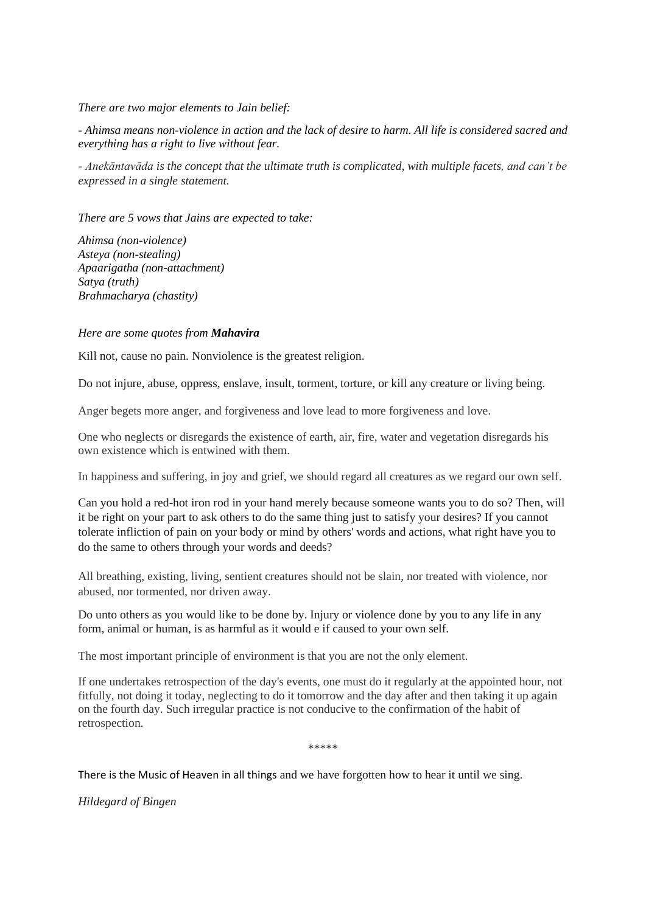*There are two major elements to Jain belief:*

*- Ahimsa means non-violence in action and the lack of desire to harm. All life is considered sacred and everything has a right to live without fear.*

*- Anekāntavāda is the concept that the ultimate truth is complicated, with multiple facets, and can't be expressed in a single statement.*

*There are 5 vows that Jains are expected to take:*

*Ahimsa (non-violence) Asteya (non-stealing) Apaarigatha (non-attachment) Satya (truth) Brahmacharya (chastity)* 

### *Here are some quotes from Mahavira*

Kill not, cause no pain. Nonviolence is the greatest religion.

Do not injure, abuse, oppress, enslave, insult, torment, torture, or kill any creature or living being.

Anger begets more anger, and forgiveness and love lead to more forgiveness and love.

One who neglects or disregards the existence of earth, air, fire, water and vegetation disregards his own existence which is entwined with them.

In happiness and suffering, in joy and grief, we should regard all creatures as we regard our own self.

Can you hold a red-hot iron rod in your hand merely because someone wants you to do so? Then, will it be right on your part to ask others to do the same thing just to satisfy your desires? If you cannot tolerate infliction of pain on your body or mind by others' words and actions, what right have you to do the same to others through your words and deeds?

All breathing, existing, living, sentient creatures should not be slain, nor treated with violence, nor abused, nor tormented, nor driven away.

Do unto others as you would like to be done by. Injury or violence done by you to any life in any form, animal or human, is as harmful as it would e if caused to your own self.

The most important principle of environment is that you are not the only element.

If one undertakes retrospection of the day's events, one must do it regularly at the appointed hour, not fitfully, not doing it today, neglecting to do it tomorrow and the day after and then taking it up again on the fourth day. Such irregular practice is not conducive to the confirmation of the habit of retrospection.

\*\*\*\*\*

There is the Music of Heaven in all things and we have forgotten how to hear it until we sing.

*Hildegard of Bingen*